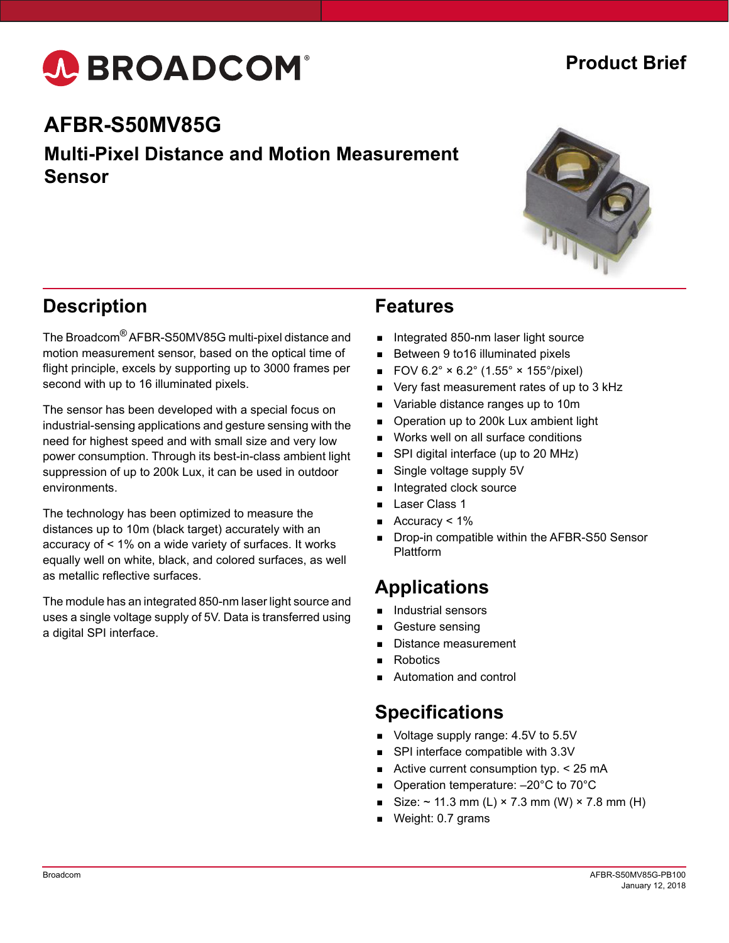# A BROADCOM®

### **Product Brief**

## **AFBR-S50MV85G**

#### **Multi-Pixel Distance and Motion Measurement Sensor**



#### **Description**

The Broadcom® AFBR-S50MV85G multi-pixel distance and motion measurement sensor, based on the optical time of flight principle, excels by supporting up to 3000 frames per second with up to 16 illuminated pixels.

The sensor has been developed with a special focus on industrial-sensing applications and gesture sensing with the need for highest speed and with small size and very low power consumption. Through its best-in-class ambient light suppression of up to 200k Lux, it can be used in outdoor environments.

The technology has been optimized to measure the distances up to 10m (black target) accurately with an accuracy of < 1% on a wide variety of surfaces. It works equally well on white, black, and colored surfaces, as well as metallic reflective surfaces.

The module has an integrated 850-nm laser light source and uses a single voltage supply of 5V. Data is transferred using a digital SPI interface.

#### **Features**

- Integrated 850-nm laser light source
- Between 9 to16 illuminated pixels
- FOV  $6.2^{\circ} \times 6.2^{\circ}$  (1.55°  $\times$  155°/pixel)
- Very fast measurement rates of up to 3 kHz
- Variable distance ranges up to 10m
- Operation up to 200k Lux ambient light
- Works well on all surface conditions
- SPI digital interface (up to 20 MHz)
- Single voltage supply 5V
- Integrated clock source
- Laser Class 1
- Accuracy < 1%
- Drop-in compatible within the AFBR-S50 Sensor Plattform

#### **Applications**

- Industrial sensors
- Gesture sensing
- Distance measurement
- **Robotics**
- Automation and control

#### **Specifications**

- Voltage supply range: 4.5V to 5.5V
- SPI interface compatible with 3.3V
- Active current consumption typ.  $<$  25 mA
- Operation temperature: -20°C to 70°C
- Size:  $\sim$  11.3 mm (L) × 7.3 mm (W) × 7.8 mm (H)
- Weight: 0.7 grams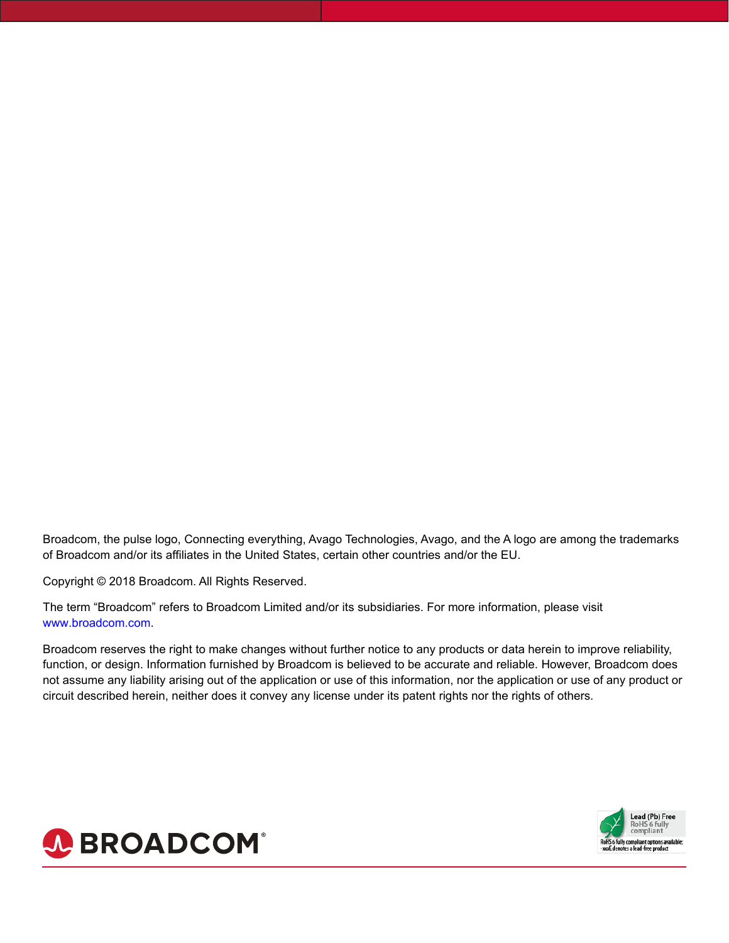Broadcom, the pulse logo, Connecting everything, Avago Technologies, Avago, and the A logo are among the trademarks of Broadcom and/or its affiliates in the United States, certain other countries and/or the EU.

Copyright © 2018 Broadcom. All Rights Reserved.

The term "Broadcom" refers to Broadcom Limited and/or its subsidiaries. For more information, please visit www.broadcom.com.

Broadcom reserves the right to make changes without further notice to any products or data herein to improve reliability, function, or design. Information furnished by Broadcom is believed to be accurate and reliable. However, Broadcom does not assume any liability arising out of the application or use of this information, nor the application or use of any product or circuit described herein, neither does it convey any license under its patent rights nor the rights of others.